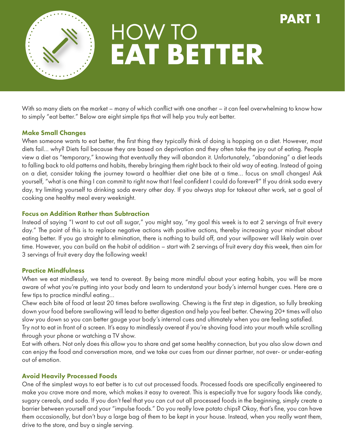

# **EAT BETTER** HOW TO

**PART 1**

With so many diets on the market – many of which conflict with one another – it can feel overwhelming to know how to simply "eat better." Below are eight simple tips that will help you truly eat better.

#### Make Small Changes

When someone wants to eat better, the first thing they typically think of doing is hopping on a diet. However, most diets fail… why? Diets fail because they are based on deprivation and they often take the joy out of eating. People view a diet as "temporary," knowing that eventually they will abandon it. Unfortunately, "abandoning" a diet leads to falling back to old patterns and habits, thereby bringing them right back to their old way of eating. Instead of going on a diet, consider taking the journey toward a healthier diet one bite at a time… focus on small changes! Ask yourself, "what is one thing I can commit to right now that I feel confident I could do forever?" If you drink soda every day, try limiting yourself to drinking soda every other day. If you always stop for takeout after work, set a goal of cooking one healthy meal every weeknight.

#### Focus on Addition Rather than Subtraction

Instead of saying "I want to cut out all sugar," you might say, "my goal this week is to eat 2 servings of fruit every day." The point of this is to replace negative actions with positive actions, thereby increasing your mindset about eating better. If you go straight to elimination, there is nothing to build off, and your willpower will likely wain over time. However, you can build on the habit of addition – start with 2 servings of fruit every day this week, then aim for 3 servings of fruit every day the following week!

### Practice Mindfulness

When we eat mindlessly, we tend to overeat. By being more mindful about your eating habits, you will be more aware of what you're putting into your body and learn to understand your body's internal hunger cues. Here are a few tips to practice mindful eating…

Chew each bite of food at least 20 times before swallowing. Chewing is the first step in digestion, so fully breaking down your food before swallowing will lead to better digestion and help you feel better. Chewing 20+ times will also slow you down so you can better gauge your body's internal cues and ultimately when you are feeling satisfied.

Try not to eat in front of a screen. It's easy to mindlessly overeat if you're shoving food into your mouth while scrolling through your phone or watching a TV show.

Eat with others. Not only does this allow you to share and get some healthy connection, but you also slow down and can enjoy the food and conversation more, and we take our cues from our dinner partner, not over- or under-eating out of emotion.

#### Avoid Heavily Processed Foods

One of the simplest ways to eat better is to cut out processed foods. Processed foods are specifically engineered to make you crave more and more, which makes it easy to overeat. This is especially true for sugary foods like candy, sugary cereals, and soda. If you don't feel that you can cut out all processed foods in the beginning, simply create a barrier between yourself and your "impulse foods." Do you really love potato chips? Okay, that's fine, you can have them occasionally, but don't buy a large bag of them to be kept in your house. Instead, when you really want them, drive to the store, and buy a single serving.